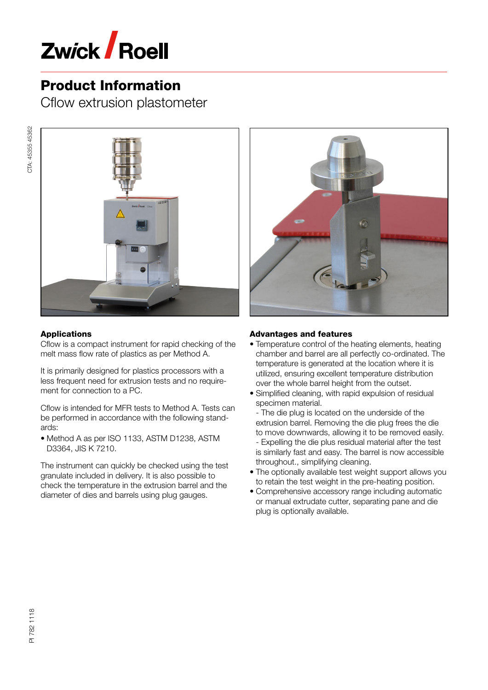

Cflow extrusion plastometer



## Applications

Cflow is a compact instrument for rapid checking of the melt mass flow rate of plastics as per Method A.

It is primarily designed for plastics processors with a less frequent need for extrusion tests and no require‐ ment for connection to a PC.

Cflow is intended for MFR tests to Method A. Tests can be performed in accordance with the following stand‐ ards:

• Method A as per ISO 1133, ASTM D1238, ASTM D3364, JIS K 7210.

The instrument can quickly be checked using the test granulate included in delivery. It is also possible to check the temperature in the extrusion barrel and the diameter of dies and barrels using plug gauges.



### Advantages and features

- Temperature control of the heating elements, heating chamber and barrel are all perfectly co-ordinated. The temperature is generated at the location where it is utilized, ensuring excellent temperature distribution over the whole barrel height from the outset.
- Simplified cleaning, with rapid expulsion of residual specimen material.

- The die plug is located on the underside of the extrusion barrel. Removing the die plug frees the die to move downwards, allowing it to be removed easily. - Expelling the die plus residual material after the test is similarly fast and easy. The barrel is now accessible throughout., simplifying cleaning.

- The optionally available test weight support allows you to retain the test weight in the pre-heating position.
- Comprehensive accessory range including automatic or manual extrudate cutter, separating pane and die plug is optionally available.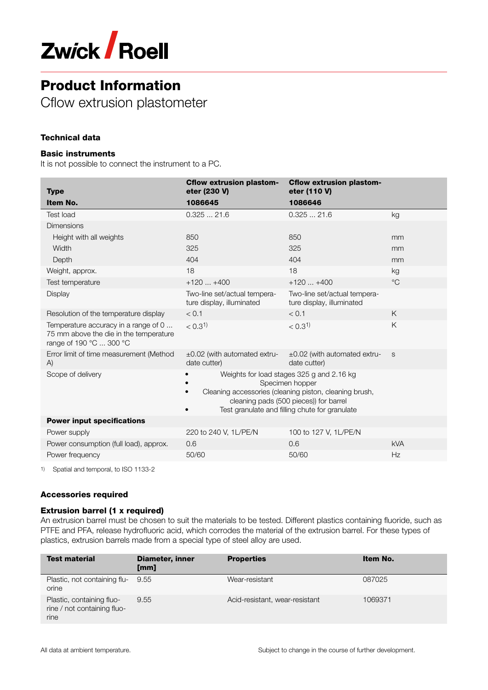

Cflow extrusion plastometer

## Technical data

#### Basic instruments

It is not possible to connect the instrument to a PC.

| <b>Type</b>                                                                                               | <b>Cflow extrusion plastom-</b><br>eter (230 V)                                                                                                                                                                    | <b>Cflow extrusion plastom-</b><br>eter (110 V)           |             |
|-----------------------------------------------------------------------------------------------------------|--------------------------------------------------------------------------------------------------------------------------------------------------------------------------------------------------------------------|-----------------------------------------------------------|-------------|
| Item No.                                                                                                  | 1086645                                                                                                                                                                                                            | 1086646                                                   |             |
| <b>Test load</b>                                                                                          | 0.32521.6                                                                                                                                                                                                          | 0.32521.6                                                 | kg          |
| <b>Dimensions</b>                                                                                         |                                                                                                                                                                                                                    |                                                           |             |
| Height with all weights                                                                                   | 850                                                                                                                                                                                                                | 850                                                       | mm          |
| Width                                                                                                     | 325                                                                                                                                                                                                                | 325                                                       | mm          |
| Depth                                                                                                     | 404                                                                                                                                                                                                                | 404                                                       | mm          |
| Weight, approx.                                                                                           | 18                                                                                                                                                                                                                 | 18                                                        | kg          |
| Test temperature                                                                                          | $+120+400$                                                                                                                                                                                                         | $+120+400$                                                | $^{\circ}C$ |
| Display                                                                                                   | Two-line set/actual tempera-<br>ture display, illuminated                                                                                                                                                          | Two-line set/actual tempera-<br>ture display, illuminated |             |
| Resolution of the temperature display                                                                     | < 0.1                                                                                                                                                                                                              | < 0.1                                                     | K           |
| Temperature accuracy in a range of 0<br>75 mm above the die in the temperature<br>range of 190 °C  300 °C | < 0.3 <sup>1</sup>                                                                                                                                                                                                 | < 0.3 <sup>1</sup>                                        | K           |
| Error limit of time measurement (Method<br>A)                                                             | $\pm 0.02$ (with automated extru-<br>date cutter)                                                                                                                                                                  | $\pm 0.02$ (with automated extru-<br>date cutter)         | S           |
| Scope of delivery                                                                                         | Weights for load stages 325 g and 2.16 kg<br>Specimen hopper<br>Cleaning accessories (cleaning piston, cleaning brush,<br>cleaning pads (500 pieces)) for barrel<br>Test granulate and filling chute for granulate |                                                           |             |
| <b>Power input specifications</b>                                                                         |                                                                                                                                                                                                                    |                                                           |             |
| Power supply                                                                                              | 220 to 240 V, 1L/PE/N                                                                                                                                                                                              | 100 to 127 V, 1L/PE/N                                     |             |
| Power consumption (full load), approx.                                                                    | 0.6                                                                                                                                                                                                                | 0.6                                                       | <b>kVA</b>  |
| Power frequency                                                                                           | 50/60                                                                                                                                                                                                              | 50/60                                                     | Hz          |

1) Spatial and temporal, to ISO 1133-2

### Accessories required

#### Extrusion barrel (1 x required)

An extrusion barrel must be chosen to suit the materials to be tested. Different plastics containing fluoride, such as PTFE and PFA, release hydrofluoric acid, which corrodes the material of the extrusion barrel. For these types of plastics, extrusion barrels made from a special type of steel alloy are used.

| <b>Test material</b>                                             | <b>Diameter, inner</b><br>[mm] | <b>Properties</b>              | Item No. |
|------------------------------------------------------------------|--------------------------------|--------------------------------|----------|
| Plastic, not containing flu-<br>orine                            | 9.55                           | Wear-resistant                 | 087025   |
| Plastic, containing fluo-<br>rine / not containing fluo-<br>rine | 9.55                           | Acid-resistant, wear-resistant | 1069371  |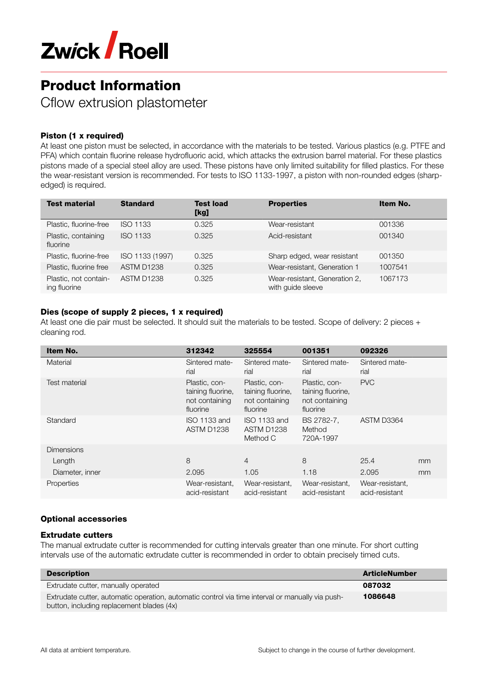

Cflow extrusion plastometer

### Piston (1 x required)

At least one piston must be selected, in accordance with the materials to be tested. Various plastics (e.g. PTFE and PFA) which contain fluorine release hydrofluoric acid, which attacks the extrusion barrel material. For these plastics pistons made of a special steel alloy are used. These pistons have only limited suitability for filled plastics. For these the wear-resistant version is recommended. For tests to ISO 1133-1997, a piston with non-rounded edges (sharpedged) is required.

| <b>Test material</b>                  | <b>Standard</b> | <b>Test load</b><br>[kg] | <b>Properties</b>                                  | Item No. |
|---------------------------------------|-----------------|--------------------------|----------------------------------------------------|----------|
| Plastic, fluorine-free                | <b>ISO 1133</b> | 0.325                    | Wear-resistant                                     | 001336   |
| Plastic, containing<br>fluorine       | <b>ISO 1133</b> | 0.325                    | Acid-resistant                                     | 001340   |
| Plastic, fluorine-free                | ISO 1133 (1997) | 0.325                    | Sharp edged, wear resistant                        | 001350   |
| Plastic, fluorine free                | ASTM D1238      | 0.325                    | Wear-resistant, Generation 1                       | 1007541  |
| Plastic, not contain-<br>ing fluorine | ASTM D1238      | 0.325                    | Wear-resistant, Generation 2,<br>with guide sleeve | 1067173  |

#### Dies (scope of supply 2 pieces, 1 x required)

At least one die pair must be selected. It should suit the materials to be tested. Scope of delivery: 2 pieces + cleaning rod.

| Item No.          | 312342                                                           | 325554                                                           | 001351                                                           | 092326                            |    |
|-------------------|------------------------------------------------------------------|------------------------------------------------------------------|------------------------------------------------------------------|-----------------------------------|----|
| Material          | Sintered mate-<br>rial                                           | Sintered mate-<br>rial                                           | Sintered mate-<br>rial                                           | Sintered mate-<br>rial            |    |
| Test material     | Plastic, con-<br>taining fluorine,<br>not containing<br>fluorine | Plastic, con-<br>taining fluorine,<br>not containing<br>fluorine | Plastic, con-<br>taining fluorine,<br>not containing<br>fluorine | <b>PVC</b>                        |    |
| Standard          | ISO 1133 and<br>ASTM D1238                                       | ISO 1133 and<br>ASTM D1238<br>Method C                           | BS 2782-7,<br>Method<br>720A-1997                                | ASTM D3364                        |    |
| <b>Dimensions</b> |                                                                  |                                                                  |                                                                  |                                   |    |
| Length            | 8                                                                | $\overline{4}$                                                   | 8                                                                | 25.4                              | mm |
| Diameter, inner   | 2.095                                                            | 1.05                                                             | 1.18                                                             | 2.095                             | mm |
| Properties        | Wear-resistant,<br>acid-resistant                                | Wear-resistant,<br>acid-resistant                                | Wear-resistant,<br>acid-resistant                                | Wear-resistant,<br>acid-resistant |    |

#### Optional accessories

#### Extrudate cutters

The manual extrudate cutter is recommended for cutting intervals greater than one minute. For short cutting intervals use of the automatic extrudate cutter is recommended in order to obtain precisely timed cuts.

| <b>Description</b>                                                                               | <b>ArticleNumber</b> |
|--------------------------------------------------------------------------------------------------|----------------------|
| Extrudate cutter, manually operated                                                              | 087032               |
| Extrudate cutter, automatic operation, automatic control via time interval or manually via push- | 1086648              |
| button, including replacement blades (4x)                                                        |                      |